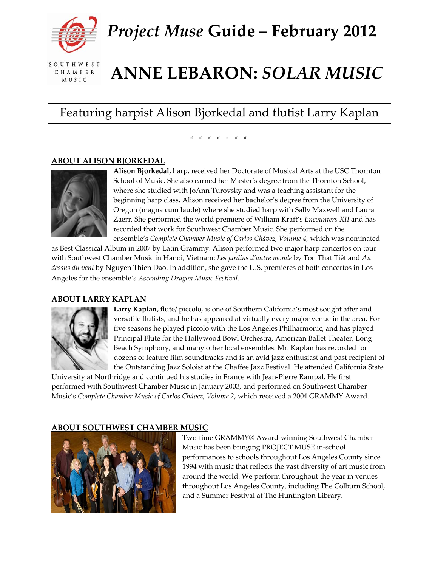

*Project Muse* **Guide – February 2012**

SOUTHWEST CHAMBER **MUSIC** 

# **ANNE LEBARON:** *SOLAR MUSIC*

Featuring harpist Alison Bjorkedal and flutist Larry Kaplan

# \* \* \* \* \* \* \*

### **ABOUT ALISON BJORKEDAL**



**Alison [Bjorkedal,](http://www.swmusic.org/about_us/musicians.html)** harp, received her Doctorate of Musical Arts at the USC Thornton School of Music. She also earned her Master's degree from the Thornton School, where she studied with JoAnn Turovsky and was a teaching assistant for the beginning harp class. Alison received her bachelor's degree from the University of Oregon (magna cum laude) where she studied harp with Sally Maxwell and Laura Zaerr. She performed the world premiere of William Kraft's *Encounters XII* and has recorded that work for Southwest Chamber Music. She performed on the ensemble's *Complete Chamber Music of Carlos Chávez, Volume 4,* which was nominated

as Best Classical Album in 2007 by Latin Grammy. Alison performed two major harp concertos on tour with Southwest Chamber Music in Hanoi, Vietnam: *Les jardins d'autre monde* by Ton That Tiêt and *Au dessus du vent* by Nguyen Thien Dao. In addition, she gave the U.S. premieres of both concertos in Los Angeles for the ensemble's *Ascending Dragon Music Festival*.

# **ABOUT LARRY KAPLAN**



**Larry Kaplan,** flute/ piccolo, is one of Southern California's most sought after and versatile flutists, and he has appeared at virtually every major venue in the area. For five seasons he played piccolo with the Los Angeles Philharmonic, and has played Principal Flute for the Hollywood Bowl Orchestra, American Ballet Theater, Long Beach Symphony, and many other local ensembles. Mr. Kaplan has recorded for dozens of feature film soundtracks and is an avid jazz enthusiast and past recipient of the Outstanding Jazz Soloist at the Chaffee Jazz Festival. He attended California State

University at Northridge and continued his studies in France with Jean‐Pierre Rampal. He first performed with Southwest Chamber Music in January 2003, and performed on Southwest Chamber Music's *Complete Chamber Music of Carlos Chávez, Volume 2*, which received a 2004 GRAMMY Award.

# **ABOUT SOUTHWEST CHAMBER MUSIC**



Two‐time GRAMMY® Award‐winning Southwest Chamber Music has been bringing PROJECT MUSE in‐school performances to schools throughout Los Angeles County since 1994 with music that reflects the vast diversity of art music from around the world. We perform throughout the year in venues throughout Los Angeles County, including The Colburn School, and a Summer Festival at The Huntington Library.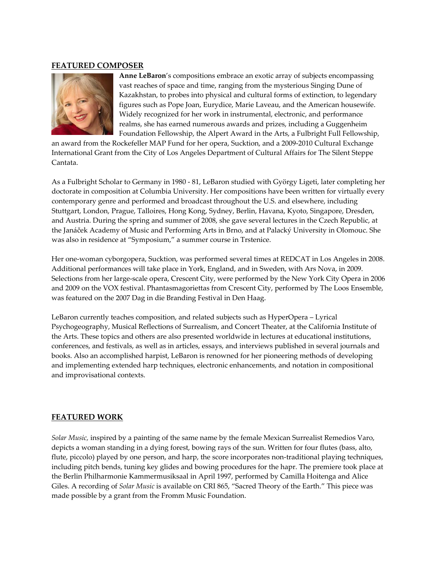### **FEATURED COMPOSER**



**Anne LeBaron**'s compositions embrace an exotic array of subjects encompassing vast reaches of space and time, ranging from the mysterious Singing Dune of Kazakhstan, to probes into physical and cultural forms of extinction, to legendary figures such as Pope Joan, Eurydice, Marie Laveau, and the American housewife. Widely recognized for her work in instrumental, electronic, and performance realms, she has earned numerous awards and prizes, including a Guggenheim Foundation Fellowship, the Alpert Award in the Arts, a Fulbright Full Fellowship,

an award from the Rockefeller MAP Fund for her opera, Sucktion, and a 2009‐2010 Cultural Exchange International Grant from the City of Los Angeles Department of Cultural Affairs for The Silent Steppe Cantata.

As a Fulbright Scholar to Germany in 1980 ‐ 81, LeBaron studied with György Ligeti, later completing her doctorate in composition at Columbia University. Her compositions have been written for virtually every contemporary genre and performed and broadcast throughout the U.S. and elsewhere, including Stuttgart, London, Prague, Talloires, Hong Kong, Sydney, Berlin, Havana, Kyoto, Singapore, Dresden, and Austria. During the spring and summer of 2008, she gave several lectures in the Czech Republic, at the Janáček Academy of Music and Performing Arts in Brno, and at Palacký University in Olomouc. She was also in residence at "Symposium," a summer course in Trstenice.

Her one‐woman cyborgopera, Sucktion, was performed several times at REDCAT in Los Angeles in 2008. Additional performances will take place in York, England, and in Sweden, with Ars Nova, in 2009. Selections from her large‐scale opera, Crescent City, were performed by the New York City Opera in 2006 and 2009 on the VOX festival. Phantasmagoriettas from Crescent City, performed by The Loos Ensemble, was featured on the 2007 Dag in die Branding Festival in Den Haag.

LeBaron currently teaches composition, and related subjects such as HyperOpera – Lyrical Psychogeography, Musical Reflections of Surrealism, and Concert Theater, at the California Institute of the Arts. These topics and others are also presented worldwide in lectures at educational institutions, conferences, and festivals, as well as in articles, essays, and interviews published in several journals and books. Also an accomplished harpist, LeBaron is renowned for her pioneering methods of developing and implementing extended harp techniques, electronic enhancements, and notation in compositional and improvisational contexts.

### **FEATURED WORK**

*Solar Music,* inspired by a painting of the same name by the female Mexican Surrealist Remedios Varo, depicts a woman standing in a dying forest, bowing rays of the sun. Written for four flutes (bass, alto, flute, piccolo) played by one person, and harp, the score incorporates non-traditional playing techniques, including pitch bends, tuning key glides and bowing procedures for the hapr. The premiere took place at the Berlin Philharmonie Kammermusiksaal in April 1997, performed by Camilla Hoitenga and Alice Giles. A recording of *Solar Music* is available on CRI 865, "Sacred Theory of the Earth." This piece was made possible by a grant from the Fromm Music Foundation.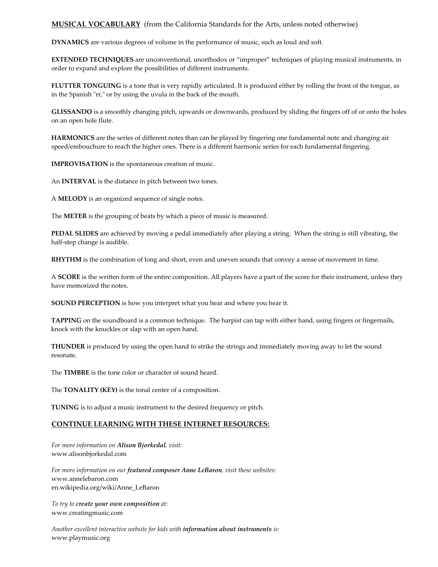**MUSICAL VOCABULARY** (from the California Standards for the Arts, unless noted otherwise)

**DYNAMICS** are various degrees of volume in the performance of music, such as loud and soft.

**EXTENDED TECHNIQUES** are unconventional, unorthodox or "improper" techniques of playing musical instruments, in order to expand and explore the possibilities of different instruments.

**FLUTTER TONGUING** is a tone that is very rapidly articulated. It is produced either by rolling the front of the tongue, as in the Spanish "rr," or by using the uvula in the back of the mouth.

**GLISSANDO** is a smoothly changing pitch, upwards or downwards, produced by sliding the fingers off of or onto the holes on an open hole flute.

**HARMONICS** are the series of different notes than can be played by fingering one fundamental note and changing air speed/embouchure to reach the higher ones. There is a different harmonic series for each fundamental fingering.

**IMPROVISATION** is the spontaneous creation of music.

An **INTERVAL** is the distance in pitch between two tones.

A **MELODY** is an organized sequence of single notes.

The **METER** is the grouping of beats by which a piece of music is measured.

**PEDAL SLIDES** are achieved by moving a pedal immediately after playing a string. When the string is still vibrating, the half‐step change is audible.

**RHYTHM** is the combination of long and short, even and uneven sounds that convey a sense of movement in time.

A **SCORE** is the written form of the entire composition. All players have a part of the score for their instrument, unless they have memorized the notes.

**SOUND PERCEPTION** is how you interpret what you hear and where you hear it.

**TAPPING** on the soundboard is a common technique. The harpist can tap with either hand, using fingers or fingernails, knock with the knuckles or slap with an open hand.

**THUNDER** is produced by using the open hand to strike the strings and immediately moving away to let the sound resonate.

The **TIMBRE** is the tone color or character of sound heard.

The **TONALITY (KEY)** is the tonal center of a composition.

**TUNING** is to adjust a music instrument to the desired frequency or pitch.

#### **CONTINUE LEARNING WITH THESE INTERNET RESOURCES:**

*For more information on Alison Bjorkedal, visit:* www.alisonbjorkedal.com

*For more information on our featured composer Anne LeBaron, visit these websites:* www.annelebaron.com en.wikipedia.org/wiki/Anne\_LeBaron

*To try to create your own composition at:* www.creatingmusic.com

*Another excellent interactive website for kids with information about instruments is:* www.playmusic.org